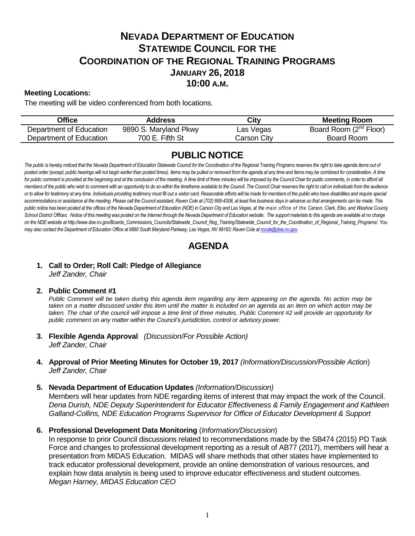# **NEVADA DEPARTMENT OF EDUCATION STATEWIDE COUNCIL FOR THE COORDINATION OF THE REGIONAL TRAINING PROGRAMS JANUARY 26, 2018 10:00 A.M.**

### **Meeting Locations:**

The meeting will be video conferenced from both locations.

| Office                  | Address               | City        | <b>Meeting Room</b>                |
|-------------------------|-----------------------|-------------|------------------------------------|
| Department of Education | 9890 S. Maryland Pkwy | Las Vegas   | Board Room (2 <sup>nd</sup> Floor) |
| Department of Education | 700 E. Fifth St       | Carson City | Board Room                         |

### **PUBLIC NOTICE**

The public is hereby noticed that the Nevada Department of Education Statewide Council for the Coordination of the Regional Training Programs reserves the right to take agenda items out of posted order (except, public hearings will not begin earlier than posted times). Items may be pulled or removed from the agenda at any time and items may be combined for consideration. A time for public comment is provided at the beginning and at the conclusion of the meeting. A time limit of three minutes will be imposed by the Council Chair for public comments, in order to afford all *members of the public who wish to comment with an opportunity to do so within the timeframe available to the Council. The Council Chair reserves the right to call on individuals from the audience*  or to allow for testimony at any time. Individuals providing testimony must fill out a visitor card. Reasonable efforts will be made for members of the public who have disabilities and require special *accommodations or assistance at the meeting. Please call the Council assistant, Raven Cole at (702) 668-4308, at least five business days in advance so that arrangements can be made. This public notice has been posted at the offices of the Nevada Department of Education (NDE) in Carson City and Las Vegas, at the main office of the Carson, Clark, Elko, and Washoe County*  School District Offices. Notice of this meeting was posted on the Internet through th[e Nevada Department of Education w](http://www.doe.nv.gov/)ebsite. The support materials to this agenda are available at no charge *on the NDE website at http://www.doe.nv.gov/Boards\_Commissions\_Councils/Statewide\_Council\_Reg\_Training/Statewide\_Council\_for\_the\_Coordination\_of\_Regional\_Training\_Programs/. You may also contact the Department of Education Office at 9890 South Maryland Parkway, Las Vegas, NV 89183; Raven Cole at [rccole@doe.nv.gov.](mailto:rccole@doe.nv.gov)*

### **AGENDA**

### **1. Call to Order; Roll Call: Pledge of Allegiance**

*Jeff Zander, Chair*

#### **2. Public Comment #1**

*Public Comment will be taken during this agenda item regarding any item appearing on the agenda. No action may be* taken on a matter discussed under this item until the matter is included on an agenda as an item on which action may be *taken. The chair of the council will impose a time limit of three minutes. Public Comment #2 will provide an opportunity for public comment on any matter within the Council's jurisdiction, control or advisory power.*

- **3. Flexible Agenda Approval** *(Discussion/For Possible Action) Jeff Zander, Chair*
- **4. Approval of Prior Meeting Minutes for October 19, 2017** *(Information/Discussion/Possible Action*) *Jeff Zander, Chair*
- **5. Nevada Department of Education Updates** *(Information/Discussion)*

Members will hear updates from NDE regarding items of interest that may impact the work of the Council. *Dena Durish, NDE Deputy Superintendent for Educator Effectiveness & Family Engagement and Kathleen Galland-Collins, NDE Education Programs Supervisor for Office of Educator Development & Support*

**6. Professional Development Data Monitoring** (*Information/Discussion*)

In response to prior Council discussions related to recommendations made by the SB474 (2015) PD Task Force and changes to professional development reporting as a result of AB77 (2017), members will hear a presentation from MIDAS Education. MIDAS will share methods that other states have implemented to track educator professional development, provide an online demonstration of various resources, and explain how data analysis is being used to improve educator effectiveness and student outcomes. *Megan Harney, MIDAS Education CEO*